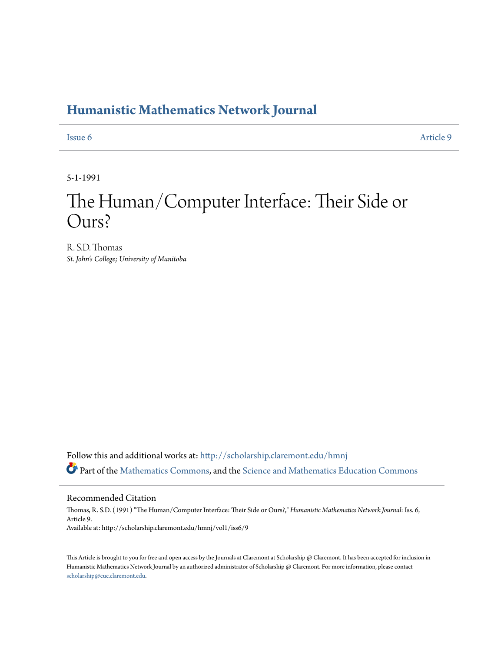## **[Humanistic Mathematics Network Journal](http://scholarship.claremont.edu/hmnj?utm_source=scholarship.claremont.edu%2Fhmnj%2Fvol1%2Fiss6%2F9&utm_medium=PDF&utm_campaign=PDFCoverPages)**

[Issue 6](http://scholarship.claremont.edu/hmnj/vol1/iss6?utm_source=scholarship.claremont.edu%2Fhmnj%2Fvol1%2Fiss6%2F9&utm_medium=PDF&utm_campaign=PDFCoverPages) [Article 9](http://scholarship.claremont.edu/hmnj/vol1/iss6/9?utm_source=scholarship.claremont.edu%2Fhmnj%2Fvol1%2Fiss6%2F9&utm_medium=PDF&utm_campaign=PDFCoverPages)

5-1-1991

## The Human/Computer Interface: Their Side or Ours?

R. S.D. Thomas *St. John's College; University of Manitoba*

Follow this and additional works at: [http://scholarship.claremont.edu/hmnj](http://scholarship.claremont.edu/hmnj?utm_source=scholarship.claremont.edu%2Fhmnj%2Fvol1%2Fiss6%2F9&utm_medium=PDF&utm_campaign=PDFCoverPages) Part of the [Mathematics Commons](http://network.bepress.com/hgg/discipline/174?utm_source=scholarship.claremont.edu%2Fhmnj%2Fvol1%2Fiss6%2F9&utm_medium=PDF&utm_campaign=PDFCoverPages), and the [Science and Mathematics Education Commons](http://network.bepress.com/hgg/discipline/800?utm_source=scholarship.claremont.edu%2Fhmnj%2Fvol1%2Fiss6%2F9&utm_medium=PDF&utm_campaign=PDFCoverPages)

Recommended Citation

Thomas, R. S.D. (1991) "The Human/Computer Interface: Their Side or Ours?," *Humanistic Mathematics Network Journal*: Iss. 6, Article 9. Available at: http://scholarship.claremont.edu/hmnj/vol1/iss6/9

This Article is brought to you for free and open access by the Journals at Claremont at Scholarship @ Claremont. It has been accepted for inclusion in Humanistic Mathematics Network Journal by an authorized administrator of Scholarship @ Claremont. For more information, please contact [scholarship@cuc.claremont.edu.](mailto:scholarship@cuc.claremont.edu)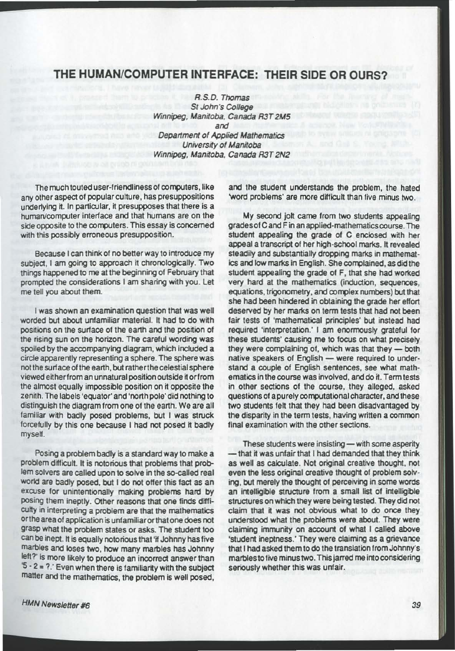## THE HUMAN/COMPUTER INTERFACE: THEIR SIDE OR OURS?

R.S.D. Thomas **St John's College** Winnipeg, Manitoba. Canada R3T2M5 and Department of Applied Mathematics University of Manitoba Winnipeg, Manitoba, Canada R3T2N2

The much touted user-friendliness of computers, like any other aspect of popular culture, has presuppositions underlying it. In particular. it presupposesthat there is a human/computer interface and that humans are on the side opposite to the computers. This essay is concerned with this possibly erroneous presupposition.

Because I can think of no better way to introduce my subject, I am going to approach it chronologically. Two things happened to me at the beginning of February that prompted the considerations I am sharing with you. Let me tell you about them.

I was shown an examination question that was well worded but about unfamiliar material. It had to do with positions on the surface of the earth and the position of the rising sun on the horizon. The careful wording was spoiled by the accompanying diagram, which included a circle apparently representing a sphere.The sphere was not the surface of the earth, but rather the celestial sphere viewed eitherfrom an unnatural position outside itorfrom the almost equally impossible position on it opposite the zenith.The labels 'equator' and 'north pole' did nothing to distinguish the diagram from one of the earth. We are all familiar with badly posed problems, but I was struck forcefully by this one because I had not posed it badly myself.

Posing a problem badly is a standard way to make a problem difficult. It is notorious that problems that problem solvers are called upon to solve in the so-called real world are badly posed, but I do not offer this fact as an excuse for unintentionally making problems hard by posing them ineptly. Other reasons that one finds difficulty in interpreting a problem are that the mathematics or the area of application is untamiliarorthatone does not grasp what the problem states or asks. The student too can be inept. It is equally notorious that 'if Johnny has five marbles and loses two, how many marbles has Johnny left?' is more likely to produce an incorrect answer than  $5 - 2 = ?$ .' Even when there is familiarity with the subject matter and the mathematics, the problem is well posed,

and the student understands the problem, the hated 'word problems' are more difficult than five minus two.

My second jolt came from two students appealing grades of C and F in an applied-mathematics course. The student appealing the grade of C enclosed with her appeal a transcript of her high-school marks. It revealed steadily and substantially dropping marks in mathematics and low marks in English. She complained, as did the student appealing the grade of F, that she had worked very hard at the mathematics (induction, sequences, equations, trigonometry, and complex numbers) but that she had been hindered in obtaining the grade her effort deserved by her marks on term tests that had not been fair tests of 'mathematical principles' but instead had required 'interpretation.' I am enormously grateful for these students' causing me to focus on what precisely they were complaining of, which was that they - both native speakers of English - were required to understand a couple of English sentences, see what mathematics in the course was involved, and do it. Term tests in other sections of the course, they alleged, asked questions of a purely computational character, and these two students felt that they had been disadvantaged by the disparity in the term tests, having written a common final examination with the other sections.

These students were insisting - with some asperity - that it was unfair that I had demanded that they think as well as calculate. Not original creative thought, not even the less original creative thought of problem solving, but merely the thought of perceiving in some words an intelligible structure from a small list of intelligible structures on which they were being tested. They did not claim that it was not obvious what to do once they understood what the problems were about. They were claiming immunity on account of what I called above 'student ineptness.' They were claiming as a grievance that I had asked them to do the translation from Johnny's marbles to five minus two.This jarred me into considering seriously whether this was unfair.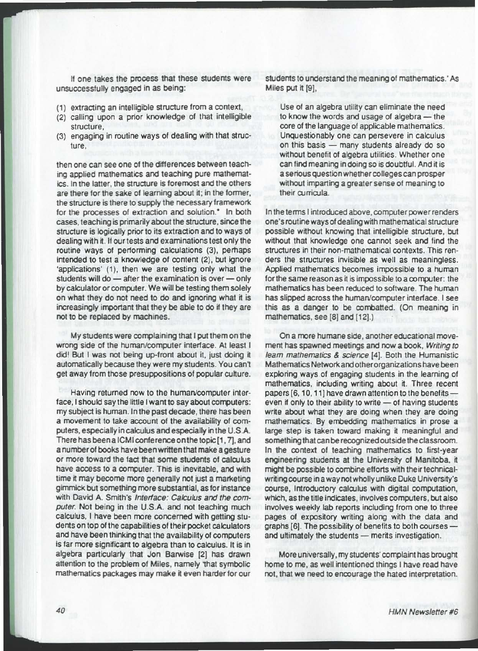If one takes the process that these students were unsuccessfully engaged in as being:

- (1) extracting an intelligible structure from a context,
- (2) calling upon a prior knowledge of that intelligible structure,
- (3) engaging in routine ways of dealing with that structure.

then one can see one of the differences between teaching applied mathematics and teaching pure mathematics. In the latter. the structure is foremost and the others are there for the sake of learning about it; in the former, the structure is there to supply the necessary framework for the processes of extraction and solution.<sup>\*</sup> In both cases, teaching is primarily about the structure, since the structure is logically prior to its extraction and to ways of dealing with it. If our tests and examinations test only the routine ways of performing calculations (3), pernaps intended to test a knowledge 01 content (2), but ignore 'applications' (1), then we are testing only what the students will do - after the examination is over - only by calculator or computer. We will be testing them solely on what they do not need to do and ignoring what it is increasingly important that they be able to do if they are not to be replaced by machines.

My students were complaining that I put them on the wrong side of the human/computer interface. At least I did! But I was not being up-front about it, just doing it automatically because they were my students. You can't get away from those presuppositions of popular culture.

Having returned now to the human/computer interface, I should say the little I want to say about computers: my subject is human. In the past decade, there has been a movement to take account of the availability of computers , especially in calculus and especially in the U.S.A. There has been a ICMI conference on the topic [1, 7], and a number of books have been written that make a gesture or more toward the fact that some students of calculus have access to a computer. This is inevitable, and with time it may become more generally not just a marketing gimmick but something more substantial, as for instance with David A. Smith's Interface: Calculus and the computer. Not being in the U.S.A. and not teaching much calculus, I have been more concerned with getting students on top of the capabilities of their pocket calculators and have been thinking that the availability of computers is far more significant to algebra than to calculus. It is in algebra particularly that Jon Barwise [2] has drawn attention to the problem of Miles, namely 'that symbolic mathematics packages may make it even harder for our

students to understand the meaning of mathematics,' As Miles put it [9],

Use of an algebra utility can eliminate the need to know the words and usage of algebra - the core of the language of applicable mathematics. Unquestionably one can persevere in calculus on this basis - many students already do so without benefit of algebra utilities. Whether one can find meaning in doing so is doubtful. And it is a serious question whether colleges can prosper without imparting a greater sense of meaning to their curricula.

In the terms I introduced above, computer power renders one's routine ways of dealing with mathematical structure possible without knowing that intelligible structure, but without that knowledge one cannot seek and find the structures in their non-mathematical contexts. This renders the structures invisible as well as meaningless. Applied mathematics becomes impossible to a human for the same reason as it is impossible to a computer: the mathematics has been reduced to software. The human has slipped across the human/computer interface. I see this as a danger to be combatted. (On meaning in mathematics, see [8] and [12].)

On a more humane side, another educational movement has spawned meetings and now a book. Writing to learn mathematics & science (4). Both the Humanistic Mathematics Network and other organizations have been exploring ways of engaging students in the learning of mathematics, including writing about it, Three recent papers [6, 10, 11] have drawn attention to the benefits even if only to their ability to write  $-$  of having students write about what they are doing when they are doing mathematics. By embedding mathematics in prose a large step is taken toward making it meaningful and something that can be recognized outside the classroom. In the context of teaching mathematics 10 first-year engineering students at the University of Manitoba, it might be possible to combine efforts with their technicalwriting course in a way not wholly unlike Duke University's course, Introductory calculus with digital computation, Which, as the title indicates , involves computers, but also involves weekly lab reports including from one 10 three pages 01 expository writing along with the data and graphs  $[6]$ . The possibility of benefits to both courses  $$ and ultimately the students - merits investigation.

More universally, my students' complaint has brought home to me, as well intentioned things I have read have not, that we need to encourage the hated interpretation.